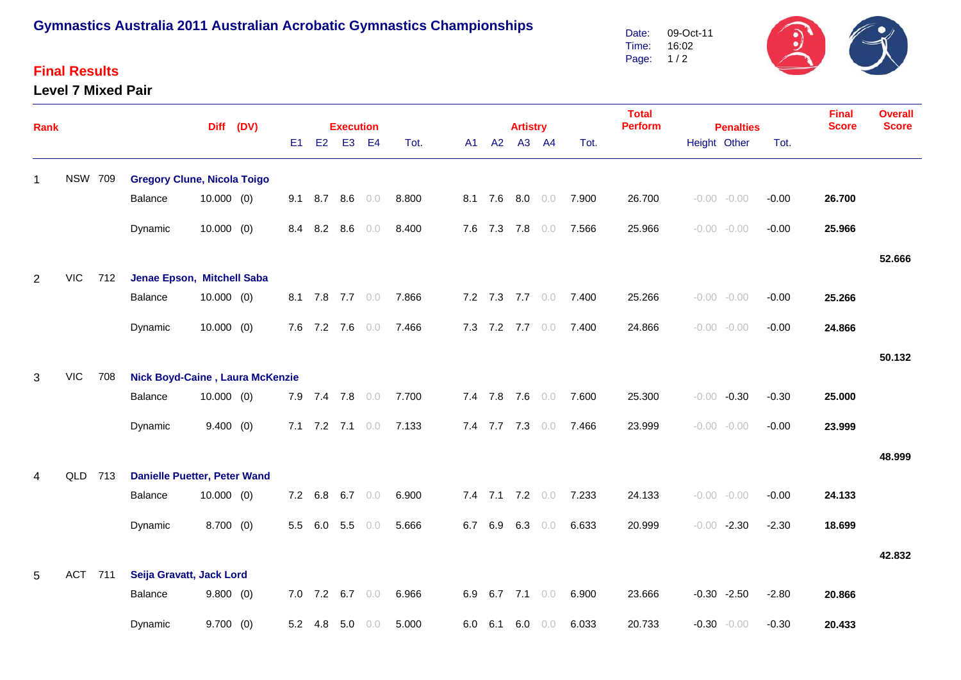# **Gymnastics Australia 2011 Australian Acrobatic Gymnastics Championships**

### **Final Results**

#### **Level 7 Mixed Pair**



| Rank           |                |                                        |                                     |              | Diff (DV) |    |         | <b>Execution</b>  |           |       |     |                | <b>Artistry</b> |                 |                       | <b>Total</b><br><b>Perform</b><br><b>Penalties</b> |                |  |         | <b>Final</b><br><b>Score</b> | <b>Overall</b><br><b>Score</b> |
|----------------|----------------|----------------------------------------|-------------------------------------|--------------|-----------|----|---------|-------------------|-----------|-------|-----|----------------|-----------------|-----------------|-----------------------|----------------------------------------------------|----------------|--|---------|------------------------------|--------------------------------|
|                |                |                                        |                                     |              |           | E1 | E2      |                   | E3 E4     | Tot.  | A1  | A2             | A3 A4           |                 | Tot.                  |                                                    | Height Other   |  | Tot.    |                              |                                |
| 1              | <b>NSW 709</b> |                                        | <b>Gregory Clune, Nicola Toigo</b>  |              |           |    |         |                   |           |       |     |                |                 |                 |                       |                                                    |                |  |         |                              |                                |
|                |                |                                        | Balance                             | $10.000$ (0) |           |    |         | $9.1$ 8.7 8.6 0.0 |           | 8.800 |     |                |                 | 8.1 7.6 8.0 0.0 | 7.900                 | 26.700                                             | $-0.00 - 0.00$ |  | $-0.00$ | 26.700                       |                                |
|                |                |                                        | Dynamic                             | 10.000(0)    |           |    |         | 8.4 8.2 8.6       | 0.0       | 8.400 |     | 7.6 7.3        |                 | 7.8 0.0         | 7.566                 | 25.966                                             | $-0.00 - 0.00$ |  | $-0.00$ | 25.966                       |                                |
|                |                |                                        |                                     |              |           |    |         |                   |           |       |     |                |                 |                 |                       |                                                    |                |  |         |                              | 52.666                         |
| $\overline{2}$ | <b>VIC</b>     | 712                                    | Jenae Epson, Mitchell Saba          |              |           |    |         |                   |           |       |     |                |                 |                 |                       |                                                    |                |  |         |                              |                                |
|                |                |                                        | Balance                             | $10.000$ (0) |           |    |         | 8.1 7.8 7.7 0.0   |           | 7.866 |     |                |                 | 7.2 7.3 7.7 0.0 | 7.400                 | 25.266                                             | $-0.00 - 0.00$ |  | $-0.00$ | 25.266                       |                                |
|                |                |                                        | Dynamic                             | $10.000$ (0) |           |    |         | 7.6 7.2 7.6       | 0.0       | 7.466 |     |                | 7.3 7.2 7.7 0.0 |                 | 7.400                 | 24.866                                             | $-0.00 - 0.00$ |  | $-0.00$ | 24.866                       |                                |
|                |                |                                        |                                     |              |           |    |         |                   |           |       |     |                |                 |                 |                       |                                                    |                |  |         |                              | 50.132                         |
| 3              | <b>VIC</b>     | Nick Boyd-Caine, Laura McKenzie<br>708 |                                     |              |           |    |         |                   |           |       |     |                |                 |                 |                       |                                                    |                |  |         |                              |                                |
|                |                |                                        | Balance                             | $10.000$ (0) |           |    |         | 7.9 7.4 7.8 0.0   |           | 7.700 |     |                |                 |                 | 7.4 7.8 7.6 0.0 7.600 | 25.300                                             | $-0.00 -0.30$  |  | $-0.30$ | 25.000                       |                                |
|                |                |                                        | Dynamic                             | 9.400(0)     |           |    |         | 7.1 7.2 7.1 $0.0$ |           | 7.133 |     |                |                 | 7.4 7.7 7.3 0.0 | 7.466                 | 23.999                                             | $-0.00 - 0.00$ |  | $-0.00$ | 23.999                       |                                |
|                |                |                                        |                                     |              |           |    |         |                   |           |       |     |                |                 |                 |                       |                                                    |                |  |         |                              | 48.999                         |
| 4              | QLD 713        |                                        | <b>Danielle Puetter, Peter Wand</b> |              |           |    |         |                   |           |       |     |                |                 |                 |                       |                                                    |                |  |         |                              |                                |
|                |                |                                        | Balance                             | $10.000$ (0) |           |    | 7.2 6.8 |                   | 6.7 $0.0$ | 6.900 |     |                |                 |                 | 7.4 7.1 7.2 0.0 7.233 | 24.133                                             | $-0.00 - 0.00$ |  | $-0.00$ | 24.133                       |                                |
|                |                |                                        | Dynamic                             | $8.700$ (0)  |           |    | 5.5 6.0 | 5.5               | 0.0       | 5.666 |     | 6.7 6.9        |                 | 6.3 $0.0$       | 6.633                 | 20.999                                             | $-0.00 -2.30$  |  | $-2.30$ | 18.699                       |                                |
|                |                |                                        |                                     |              |           |    |         |                   |           |       |     |                |                 |                 |                       |                                                    |                |  |         |                              | 42.832                         |
| 5              | ACT 711        |                                        | Seija Gravatt, Jack Lord            |              |           |    |         |                   |           |       |     |                |                 |                 |                       |                                                    |                |  |         |                              |                                |
|                |                |                                        | Balance                             | 9.800(0)     |           |    |         | 7.0 7.2 6.7       | 0.0       | 6.966 | 6.9 |                | 6.7 7.1 $0.0$   |                 | 6.900                 | 23.666                                             | $-0.30 -2.50$  |  | $-2.80$ | 20.866                       |                                |
|                |                |                                        | Dynamic                             | 9.700(0)     |           |    | 5.2 4.8 | 5.0               | 0.0       | 5.000 |     | $6.0\quad 6.1$ | 6.0             | $0.0$           | 6.033                 | 20.733                                             | $-0.30 - 0.00$ |  | $-0.30$ | 20.433                       |                                |